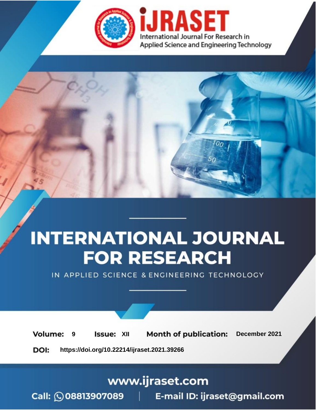

# **INTERNATIONAL JOURNAL FOR RESEARCH**

IN APPLIED SCIENCE & ENGINEERING TECHNOLOGY

**Month of publication: Volume: Issue: XII** December 2021 9 DOI: https://doi.org/10.22214/ijraset.2021.39266

www.ijraset.com

Call: 008813907089 | E-mail ID: ijraset@gmail.com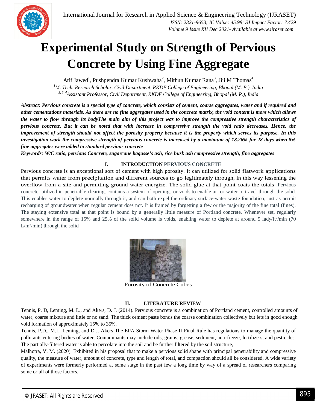

### **Experimental Study on Strength of Pervious Concrete by Using Fine Aggregate**

Atif Jawed<sup>1</sup>, Pushpendra Kumar Kushwaha<sup>2</sup>, Mithun Kumar Rana<sup>3</sup>, Jiji M Thomas<sup>4</sup>

*<sup>1</sup>M. Tech. Research Scholar, Civil Department, RKDF College of Engineering, Bhopal (M. P.), India 2, 3, 4Assistant Professor, Civil Department, RKDF College of Engineering, Bhopal (M. P.), India*

*Abstract: Pervious concrete is a special type of concrete, which consists of cement, coarse aggregates, water and if required and other cementations materials. As there are no fine aggregates used in the concrete matrix, the void content is more which allows the water to flow through its bodyThe main aim of this project was to improve the compressive strength characteristics of pervious concrete. But it can be noted that with increase in compressive strength the void ratio decreases. Hence, the improvement of strength should not affect the porosity property because it is the property which serves its purpose. In this investigation work the compressive strength of pervious concrete is increased by a maximum of 18.26% for 28 days when 8% fine aggregates were added to standard pervious concrete*

*Keywords: W/C ratio, pervious Concrete, sugarcane bagasse's ash, rice husk ash compressive strength, fine aggregates*

#### **I. INTRODUCTION PERVIOUS CONCRETE**

Pervious concrete is an exceptional sort of cement with high porosity. It can utilized for solid flatwork applications that permits water from precipitation and different sources to go legitimately through, in this way lessening the overflow from a site and permitting ground water energize. The solid glue at that point coats the totals ,Pervious concrete, utilized in penetrable clearing, contains a system of openings or voids,to enable air or water to travel through the solid. This enables water to deplete normally through it, and can both expel the ordinary surface-water waste foundation, just as permit recharging of groundwater when regular cement does not. It is framed by forgetting a few or the majority of the fine total (fines). The staying extensive total at that point is bound by a generally little measure of Portland concrete. Whenever set, regularly somewhere in the range of 15% and 25% of the solid volume is voids, enabling water to deplete at around 5 lady/ft<sup>2</sup>/min (70)  $L/m<sup>2</sup>/min)$  through the solid



Porosity of Concrete Cubes

#### **II. LITERATURE REVIEW**

Tennis, P. D, Leming, M. L., and Akers, D. J. (2014). Pervious concrete is a combination of Portland cement, controlled amounts of water, coarse mixture and little or no sand. The thick cement paste bonds the coarse combination collectively but lets in good enough void formation of approximately 15% to 35%.

Tennis, P.D., M.L. Leming, and D.J. Akers The EPA Storm Water Phase II Final Rule has regulations to manage the quantity of pollutants entering bodies of water. Contaminants may include oils, grains, grease, sediment, anti-freeze, fertilizers, and pesticides. The partially-filtered water is able to percolate into the soil and be further filtered by the soil structure,

Malhotra, V. M. (2020). Exhibited in his proposal that to make a pervious solid shape with principal penetrability and compressive quality, the measure of water, amount of concrete, type and length of total, and compaction should all be considered, A wide variety of experiments were formerly performed at some stage in the past few a long time by way of a spread of researchers comparing some or all of those factors.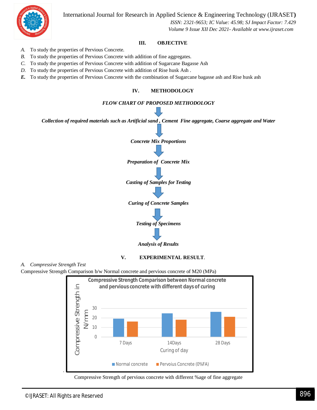International Journal for Research in Applied Science & Engineering Technology (IJRASET**)**



 *ISSN: 2321-9653; IC Value: 45.98; SJ Impact Factor: 7.429 Volume 9 Issue XII Dec 2021- Available at www.ijraset.com*

#### **III. OBJECTIVE**

- *A.* To study the properties of Pervious Concrete.
- *B.* To study the properties of Pervious Concrete with addition of fine aggregates.
- *C.* To study the properties of Pervious Concrete with addition of Sugarcane Bagasse Ash
- *D.* To study the properties of Pervious Concrete with addition of Rise husk Ash .
- *E.* To study the properties of Pervious Concrete with the combination of Sugarcane bagasse ash and Rise husk ash

#### **IV. METHODOLOGY**

#### *FLOW CHART OF PROPOSED METHODOLOGY*

*Collection of required materials such as Artificial sand , Cement Fine aggregate, Coarse aggregate and Water*



*Analysis of Results*

#### **V. EXPERIMENTAL RESULT**.

*A. Compressive Strength Test*

Compressive Strength Comparison b/w Normal concrete and pervious concrete of M20 (MPa)



Compressive Strength of pervious concrete with different %age of fine aggregate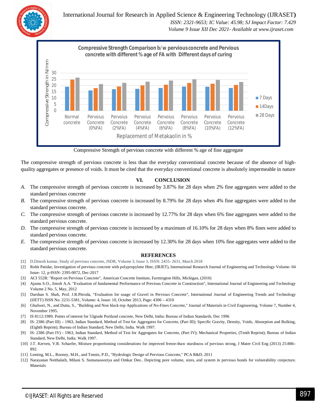International Journal for Research in Applied Science & Engineering Technology (IJRASET**)**  *ISSN: 2321-9653; IC Value: 45.98; SJ Impact Factor: 7.429 Volume 9 Issue XII Dec 2021- Available at www.ijraset.com*



Compressive Strength of pervious concrete with different % age of fine aggregate

The compressive strength of pervious concrete is less than the everyday conventional concrete because of the absence of highquality aggregates or presence of voids. It must be cited that the everyday conventional concrete is absolutely impermeable in nature

#### **VI. CONCLUSION**

- *A.* The compressive strength of pervious concrete is increased by 3.87% for 28 days when 2% fine aggregates were added to the standard pervious concrete
- *B.* The compressive strength of pervious concrete is increased by 8.79% for 28 days when 4% fine aggregates were added to the standard pervious concrete.
- *C.* The compressive strength of pervious concrete is increased by 12.77% for 28 days when 6% fine aggregates were added to the standard pervious concrete.
- *D.* The compressive strength of pervious concrete is increased by a maximum of 16.10% for 28 days when 8% fines were added to standard pervious concrete.
- *E.* The compressive strength of pervious concrete is increased by 12.30% for 28 days when 10% fine aggregates were added to the standard pervious concrete.

#### **REFERENCES**

- [1] D.Dinesh kumar, Study of pervious concrete, JSDR, Volume 3, Issue 3, ISSN: 2455- 2631, March 2018
- [2] Rohit Patidar, Investigation of pervious concrete with polypropylene fiber, (IRJET), International Research Journal of Engineering and Technology Volume- 04 Issue- 12, p-ISSN- 2395-0072, Dec-2017
- [3] ACI 552R: "Report on Pervious Concrete", American Concrete Institute, Farmington Hills, Michigan, (2010)
- [4] Ajamu S.O., Jimoh A.A. "Evaluation of fundamental Performance of Previous Concrete in Construction", International Journal of Engineering and Technology Volume 2 No. 5, May, 2012
- [5] Darshan S. Shah, Prof. J.R.Pitroda, "Evaluation for usage of Gravel in Pervious Concrete", International Journal of Engineering Trends and Technology (IJETT) ISSN No. 2231-5381, Volume: 4, Issue: 10, October 2013, Page: 4306 – 4310
- [6] Ghafoori, N., and Dutta, S., "Building and Non black-top Applications of No-Fines Concrete," Journal of Materials in Civil Engineering, Volume 7, Number 4, November 1995.
- [7] IS 8112:1989. Points of interest for 53grade Portland concrete, New Delhi, India: Bureau of Indian Standards. Dec 1996
- [8] IS: 2386 (Part III) 1963, Indian Standard, Method of Test for Aggregates for Concrete, (Part III); Specific Gravity, Density, Voids, Absorption and Bulking, (Eighth Reprint); Bureau of Indian Standard, New Delhi, India. Walk 1997.
- [9] IS: 2386 (Part IV) 1963, Indian Standard, Method of Test for Aggregates for Concrete, (Part IV); Mechanical Properties, (Tenth Reprint); Bureau of Indian Standard, New Delhi, India. Walk 1997.
- [10] J.T. Kerven, V.R. Schaefer, Mixture proportioning considerations for improved freeze-thaw sturdiness of pervious strong, J Mater Civil Eng (2013) 25:886– 892.
- [11] Leming, M.L., Rooney, M.H., and Tennis, P.D., "Hydrologic Design of Pervious Concrete," PCA R&D. 2011
- [12] Narayanan Neithalath, Milani S. Sumanasooriya and Omkar Deo.. Depicting pore volume, sizes, and system in pervious bonds for vulnerability conjecture. Materials